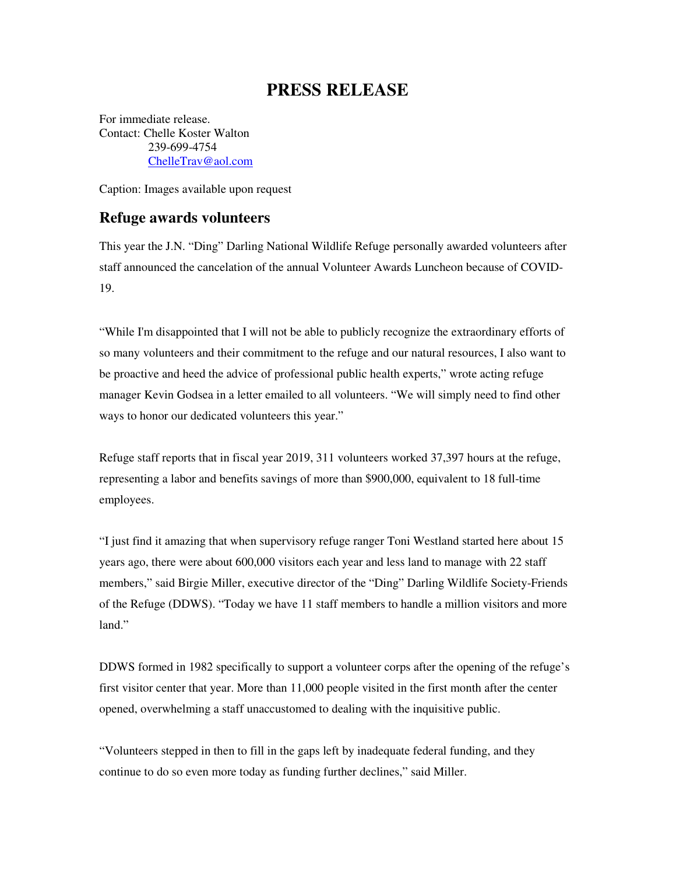## **PRESS RELEASE**

For immediate release. Contact: Chelle Koster Walton 239-699-4754 ChelleTrav@aol.com

Caption: Images available upon request

## **Refuge awards volunteers**

This year the J.N. "Ding" Darling National Wildlife Refuge personally awarded volunteers after staff announced the cancelation of the annual Volunteer Awards Luncheon because of COVID-19.

"While I'm disappointed that I will not be able to publicly recognize the extraordinary efforts of so many volunteers and their commitment to the refuge and our natural resources, I also want to be proactive and heed the advice of professional public health experts," wrote acting refuge manager Kevin Godsea in a letter emailed to all volunteers. "We will simply need to find other ways to honor our dedicated volunteers this year."

Refuge staff reports that in fiscal year 2019, 311 volunteers worked 37,397 hours at the refuge, representing a labor and benefits savings of more than \$900,000, equivalent to 18 full-time employees.

"I just find it amazing that when supervisory refuge ranger Toni Westland started here about 15 years ago, there were about 600,000 visitors each year and less land to manage with 22 staff members," said Birgie Miller, executive director of the "Ding" Darling Wildlife Society-Friends of the Refuge (DDWS). "Today we have 11 staff members to handle a million visitors and more land."

DDWS formed in 1982 specifically to support a volunteer corps after the opening of the refuge's first visitor center that year. More than 11,000 people visited in the first month after the center opened, overwhelming a staff unaccustomed to dealing with the inquisitive public.

"Volunteers stepped in then to fill in the gaps left by inadequate federal funding, and they continue to do so even more today as funding further declines," said Miller.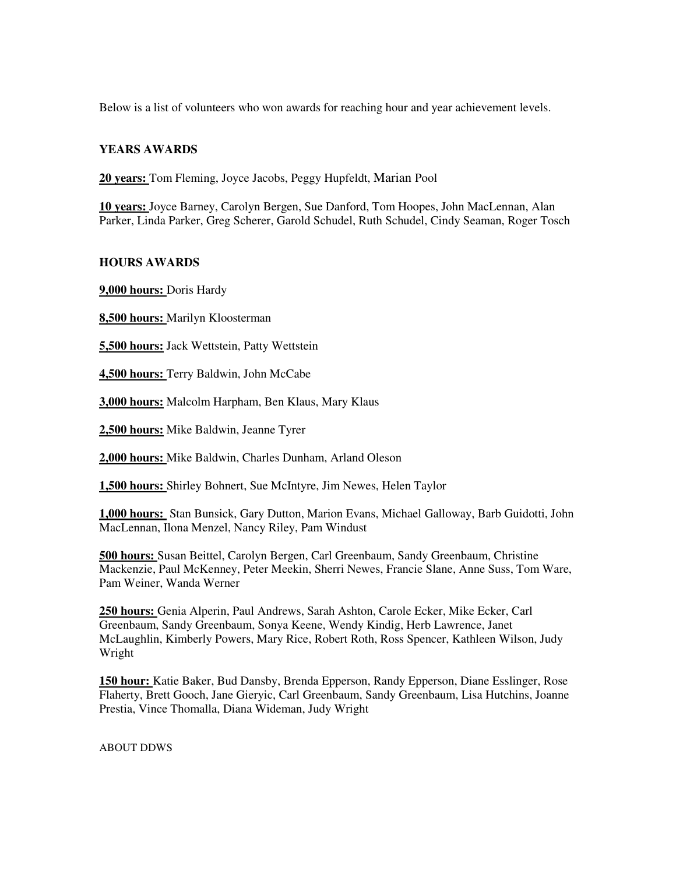Below is a list of volunteers who won awards for reaching hour and year achievement levels.

## **YEARS AWARDS**

**20 years:** Tom Fleming, Joyce Jacobs, Peggy Hupfeldt, Marian Pool

**10 years:** Joyce Barney, Carolyn Bergen, Sue Danford, Tom Hoopes, John MacLennan, Alan Parker, Linda Parker, Greg Scherer, Garold Schudel, Ruth Schudel, Cindy Seaman, Roger Tosch

## **HOURS AWARDS**

**9,000 hours:** Doris Hardy

**8,500 hours:** Marilyn Kloosterman

**5,500 hours:** Jack Wettstein, Patty Wettstein

**4,500 hours:** Terry Baldwin, John McCabe

**3,000 hours:** Malcolm Harpham, Ben Klaus, Mary Klaus

**2,500 hours:** Mike Baldwin, Jeanne Tyrer

**2,000 hours:** Mike Baldwin, Charles Dunham, Arland Oleson

**1,500 hours:** Shirley Bohnert, Sue McIntyre, Jim Newes, Helen Taylor

**1,000 hours:** Stan Bunsick, Gary Dutton, Marion Evans, Michael Galloway, Barb Guidotti, John MacLennan, Ilona Menzel, Nancy Riley, Pam Windust

**500 hours:** Susan Beittel, Carolyn Bergen, Carl Greenbaum, Sandy Greenbaum, Christine Mackenzie, Paul McKenney, Peter Meekin, Sherri Newes, Francie Slane, Anne Suss, Tom Ware, Pam Weiner, Wanda Werner

**250 hours:** Genia Alperin, Paul Andrews, Sarah Ashton, Carole Ecker, Mike Ecker, Carl Greenbaum, Sandy Greenbaum, Sonya Keene, Wendy Kindig, Herb Lawrence, Janet McLaughlin, Kimberly Powers, Mary Rice, Robert Roth, Ross Spencer, Kathleen Wilson, Judy Wright

**150 hour:** Katie Baker, Bud Dansby, Brenda Epperson, Randy Epperson, Diane Esslinger, Rose Flaherty, Brett Gooch, Jane Gieryic, Carl Greenbaum, Sandy Greenbaum, Lisa Hutchins, Joanne Prestia, Vince Thomalla, Diana Wideman, Judy Wright

ABOUT DDWS